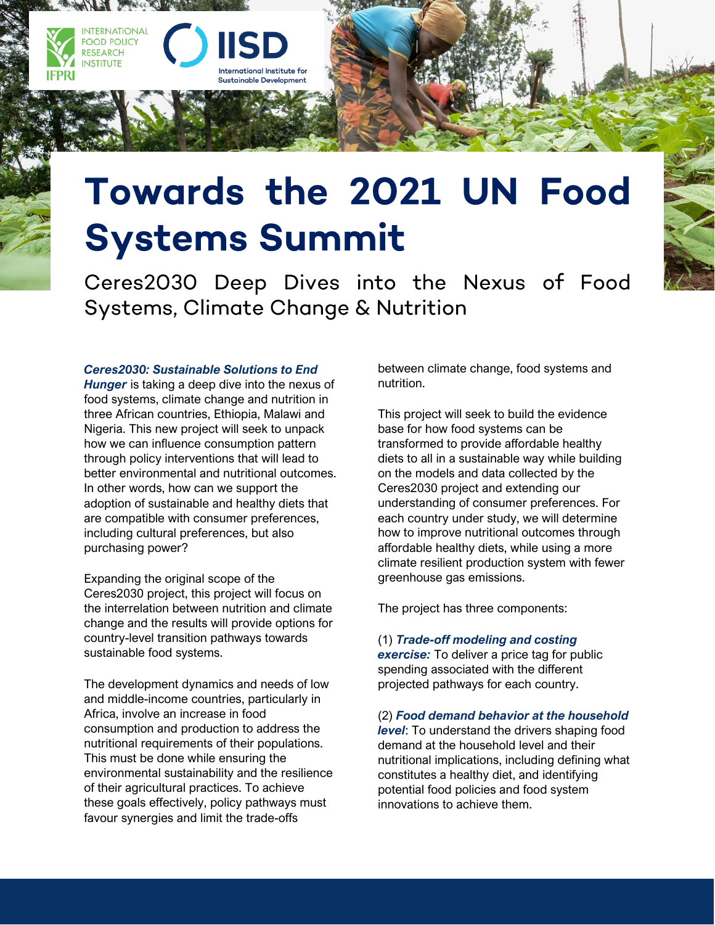

nternational Institute for **Sustainable Development** 

Ceres2030 Deep Dives into the Nexus of Food Systems, Climate Change & Nutrition

## *Ceres2030: Sustainable Solutions to End*

**INTERNATIONAL FOOD POLICY** RESEARCH **INSTITUTE** 

*Hunger* is taking a deep dive into the nexus of food systems, climate change and nutrition in three African countries, Ethiopia, Malawi and Nigeria. This new project will seek to unpack how we can influence consumption pattern through policy interventions that will lead to better environmental and nutritional outcomes. In other words, how can we support the adoption of sustainable and healthy diets that are compatible with consumer preferences, including cultural preferences, but also purchasing power?

Expanding the original scope of the Ceres2030 project, this project will focus on the interrelation between nutrition and climate change and the results will provide options for country-level transition pathways towards sustainable food systems.

The development dynamics and needs of low and middle-income countries, particularly in Africa, involve an increase in food consumption and production to address the nutritional requirements of their populations. This must be done while ensuring the environmental sustainability and the resilience of their agricultural practices. To achieve these goals effectively, policy pathways must favour synergies and limit the trade-offs

between climate change, food systems and nutrition.

This project will seek to build the evidence base for how food systems can be transformed to provide affordable healthy diets to all in a sustainable way while building on the models and data collected by the Ceres2030 project and extending our understanding of consumer preferences. For each country under study, we will determine how to improve nutritional outcomes through affordable healthy diets, while using a more climate resilient production system with fewer greenhouse gas emissions.

The project has three components:

## (1) *Trade-off modeling and costing*

*exercise:* To deliver a price tag for public spending associated with the different projected pathways for each country.

## (2) *Food demand behavior at the household*

*level*: To understand the drivers shaping food demand at the household level and their nutritional implications, including defining what constitutes a healthy diet, and identifying potential food policies and food system innovations to achieve them.